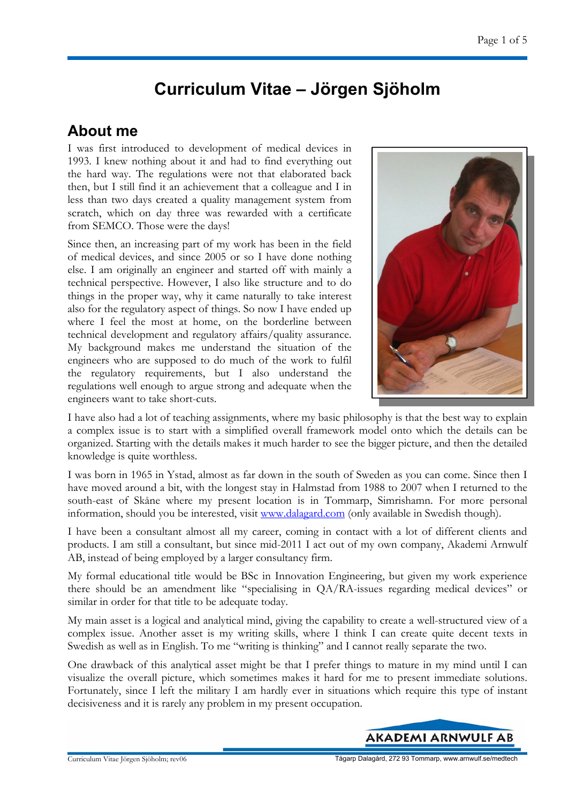## **Curriculum Vitae – Jörgen Sjöholm**

### **About me**

I was first introduced to development of medical devices in 1993. I knew nothing about it and had to find everything out the hard way. The regulations were not that elaborated back then, but I still find it an achievement that a colleague and I in less than two days created a quality management system from scratch, which on day three was rewarded with a certificate from SEMCO. Those were the days!

Since then, an increasing part of my work has been in the field of medical devices, and since 2005 or so I have done nothing else. I am originally an engineer and started off with mainly a technical perspective. However, I also like structure and to do things in the proper way, why it came naturally to take interest also for the regulatory aspect of things. So now I have ended up where I feel the most at home, on the borderline between technical development and regulatory affairs/quality assurance. My background makes me understand the situation of the engineers who are supposed to do much of the work to fulfil the regulatory requirements, but I also understand the regulations well enough to argue strong and adequate when the engineers want to take short-cuts.



I have also had a lot of teaching assignments, where my basic philosophy is that the best way to explain a complex issue is to start with a simplified overall framework model onto which the details can be organized. Starting with the details makes it much harder to see the bigger picture, and then the detailed knowledge is quite worthless.

I was born in 1965 in Ystad, almost as far down in the south of Sweden as you can come. Since then I have moved around a bit, with the longest stay in Halmstad from 1988 to 2007 when I returned to the south-east of Skåne where my present location is in Tommarp, Simrishamn. For more personal information, should you be interested, visit www.dalagard.com (only available in Swedish though).

I have been a consultant almost all my career, coming in contact with a lot of different clients and products. I am still a consultant, but since mid-2011 I act out of my own company, Akademi Arnwulf AB, instead of being employed by a larger consultancy firm.

My formal educational title would be BSc in Innovation Engineering, but given my work experience there should be an amendment like "specialising in QA/RA-issues regarding medical devices" or similar in order for that title to be adequate today.

My main asset is a logical and analytical mind, giving the capability to create a well-structured view of a complex issue. Another asset is my writing skills, where I think I can create quite decent texts in Swedish as well as in English. To me "writing is thinking" and I cannot really separate the two.

One drawback of this analytical asset might be that I prefer things to mature in my mind until I can visualize the overall picture, which sometimes makes it hard for me to present immediate solutions. Fortunately, since I left the military I am hardly ever in situations which require this type of instant decisiveness and it is rarely any problem in my present occupation.

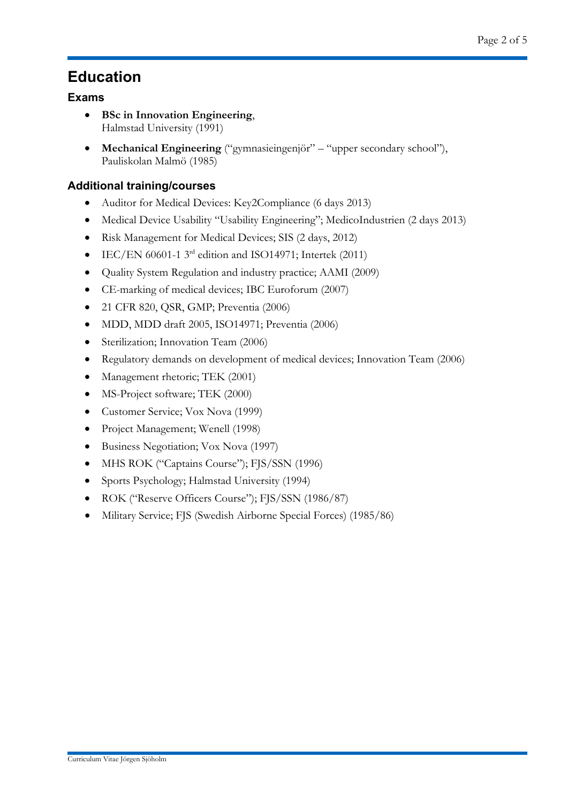### **Education**

### **Exams**

- **BSc in Innovation Engineering**, Halmstad University (1991)
- **Mechanical Engineering** ("gymnasieingenjör" "upper secondary school"), Pauliskolan Malmö (1985)

### **Additional training/courses**

- Auditor for Medical Devices: Key2Compliance (6 days 2013)
- Medical Device Usability "Usability Engineering"; MedicoIndustrien (2 days 2013)
- Risk Management for Medical Devices; SIS (2 days, 2012)
- $\bullet$  IEC/EN 60601-1 3<sup>rd</sup> edition and ISO14971; Intertek (2011)
- Quality System Regulation and industry practice; AAMI (2009)
- CE-marking of medical devices; IBC Euroforum (2007)
- 21 CFR 820, QSR, GMP; Preventia (2006)
- MDD, MDD draft 2005, ISO14971; Preventia (2006)
- Sterilization; Innovation Team (2006)
- Regulatory demands on development of medical devices; Innovation Team (2006)
- Management rhetoric; TEK (2001)
- MS-Project software; TEK (2000)
- Customer Service; Vox Nova (1999)
- Project Management; Wenell (1998)
- Business Negotiation; Vox Nova (1997)
- MHS ROK ("Captains Course"); FJS/SSN (1996)
- Sports Psychology; Halmstad University (1994)
- ROK ("Reserve Officers Course"); FJS/SSN (1986/87)
- Military Service; FJS (Swedish Airborne Special Forces) (1985/86)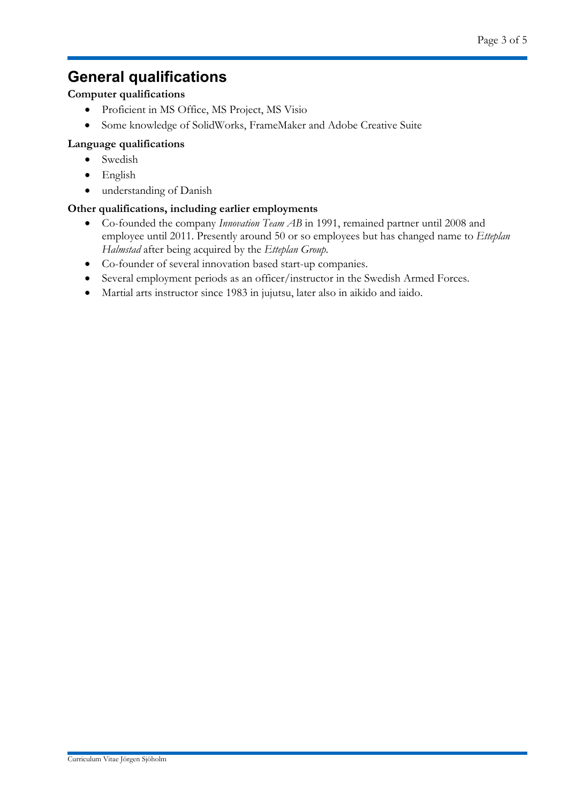### **General qualifications**

#### **Computer qualifications**

- Proficient in MS Office, MS Project, MS Visio
- Some knowledge of SolidWorks, FrameMaker and Adobe Creative Suite

#### **Language qualifications**

- Swedish
- English
- understanding of Danish

#### **Other qualifications, including earlier employments**

- Co-founded the company *Innovation Team AB* in 1991, remained partner until 2008 and employee until 2011. Presently around 50 or so employees but has changed name to *Etteplan Halmstad* after being acquired by the *Etteplan Group*.
- Co-founder of several innovation based start-up companies.
- Several employment periods as an officer/instructor in the Swedish Armed Forces.
- Martial arts instructor since 1983 in jujutsu, later also in aikido and iaido.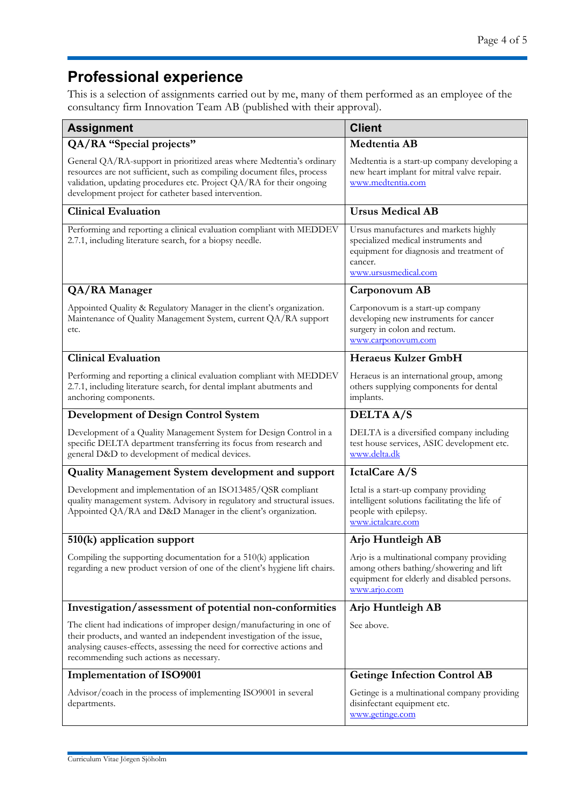# **Professional experience**

This is a selection of assignments carried out by me, many of them performed as an employee of the consultancy firm Innovation Team AB (published with their approval).

| <b>Assignment</b>                                                                                                                                                                                                                                                                | <b>Client</b>                                                                                                                                               |
|----------------------------------------------------------------------------------------------------------------------------------------------------------------------------------------------------------------------------------------------------------------------------------|-------------------------------------------------------------------------------------------------------------------------------------------------------------|
| QA/RA "Special projects"                                                                                                                                                                                                                                                         | Medtentia AB                                                                                                                                                |
| General QA/RA-support in prioritized areas where Medtentia's ordinary<br>resources are not sufficient, such as compiling document files, process<br>validation, updating procedures etc. Project QA/RA for their ongoing<br>development project for catheter based intervention. | Medtentia is a start-up company developing a<br>new heart implant for mitral valve repair.<br>www.medtentia.com                                             |
| <b>Clinical Evaluation</b>                                                                                                                                                                                                                                                       | <b>Ursus Medical AB</b>                                                                                                                                     |
| Performing and reporting a clinical evaluation compliant with MEDDEV<br>2.7.1, including literature search, for a biopsy needle.                                                                                                                                                 | Ursus manufactures and markets highly<br>specialized medical instruments and<br>equipment for diagnosis and treatment of<br>cancer.<br>www.ursusmedical.com |
| QA/RA Manager                                                                                                                                                                                                                                                                    | Carponovum AB                                                                                                                                               |
| Appointed Quality & Regulatory Manager in the client's organization.<br>Maintenance of Quality Management System, current QA/RA support<br>etc.                                                                                                                                  | Carponovum is a start-up company<br>developing new instruments for cancer<br>surgery in colon and rectum.<br>www.carponovum.com                             |
| <b>Clinical Evaluation</b>                                                                                                                                                                                                                                                       | <b>Heraeus Kulzer GmbH</b>                                                                                                                                  |
| Performing and reporting a clinical evaluation compliant with MEDDEV<br>2.7.1, including literature search, for dental implant abutments and<br>anchoring components.                                                                                                            | Heraeus is an international group, among<br>others supplying components for dental<br>implants.                                                             |
| <b>Development of Design Control System</b>                                                                                                                                                                                                                                      | <b>DELTAA/S</b>                                                                                                                                             |
| Development of a Quality Management System for Design Control in a<br>specific DELTA department transferring its focus from research and<br>general D&D to development of medical devices.                                                                                       | DELTA is a diversified company including<br>test house services, ASIC development etc.<br>www.delta.dk                                                      |
| Quality Management System development and support                                                                                                                                                                                                                                | IctalCare A/S                                                                                                                                               |
| Development and implementation of an ISO13485/QSR compliant<br>quality management system. Advisory in regulatory and structural issues.<br>Appointed QA/RA and D&D Manager in the client's organization.                                                                         | Ictal is a start-up company providing<br>intelligent solutions facilitating the life of<br>people with epilepsy.<br>www.ictalcare.com                       |
| 510(k) application support                                                                                                                                                                                                                                                       | Arjo Huntleigh AB                                                                                                                                           |
| Compiling the supporting documentation for a $510(k)$ application<br>regarding a new product version of one of the client's hygiene lift chairs.                                                                                                                                 | Arjo is a multinational company providing<br>among others bathing/showering and lift<br>equipment for elderly and disabled persons.<br>www.arjo.com         |
| Investigation/assessment of potential non-conformities                                                                                                                                                                                                                           | Arjo Huntleigh AB                                                                                                                                           |
| The client had indications of improper design/manufacturing in one of<br>their products, and wanted an independent investigation of the issue,<br>analysing causes-effects, assessing the need for corrective actions and<br>recommending such actions as necessary.             | See above.                                                                                                                                                  |
| Implementation of ISO9001                                                                                                                                                                                                                                                        | <b>Getinge Infection Control AB</b>                                                                                                                         |
| Advisor/coach in the process of implementing ISO9001 in several<br>departments.                                                                                                                                                                                                  | Getinge is a multinational company providing<br>disinfectant equipment etc.<br>www.getinge.com                                                              |